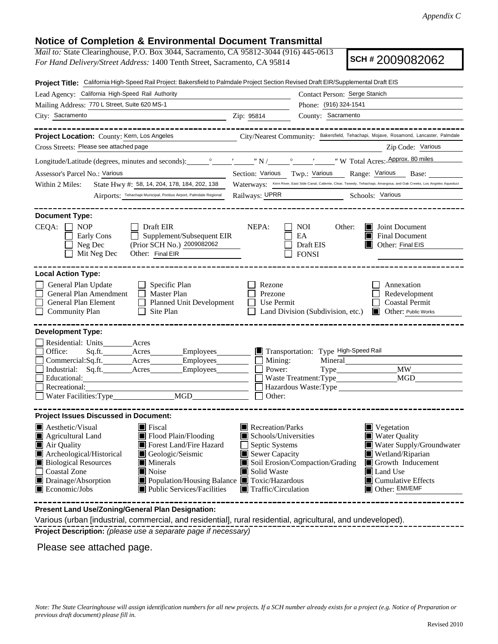# **Notice of Completion & Environmental Document Transmittal**

*Mail to:* State Clearinghouse, P.O. Box 3044, Sacramento, CA 95812-3044 (916) 445-0613 *For Hand Delivery/Street Address:* 1400 Tenth Street, Sacramento, CA 95814

**SCH #** 2009082062

| Project Title: California High-Speed Rail Project: Bakersfield to Palmdale Project Section Revised Draft EIR/Supplemental Draft EIS                                                                                                                                                                                                                                                                                              |                                                                                                                                                                                                                                                                                                                                                              |  |  |  |  |  |
|----------------------------------------------------------------------------------------------------------------------------------------------------------------------------------------------------------------------------------------------------------------------------------------------------------------------------------------------------------------------------------------------------------------------------------|--------------------------------------------------------------------------------------------------------------------------------------------------------------------------------------------------------------------------------------------------------------------------------------------------------------------------------------------------------------|--|--|--|--|--|
| Lead Agency: California High-Speed Rail Authority                                                                                                                                                                                                                                                                                                                                                                                | Contact Person: Serge Stanich                                                                                                                                                                                                                                                                                                                                |  |  |  |  |  |
| Mailing Address: 770 L Street, Suite 620 MS-1                                                                                                                                                                                                                                                                                                                                                                                    | Phone: (916) 324-1541                                                                                                                                                                                                                                                                                                                                        |  |  |  |  |  |
| City: Sacramento                                                                                                                                                                                                                                                                                                                                                                                                                 | County: Sacramento<br>Zip: 95814                                                                                                                                                                                                                                                                                                                             |  |  |  |  |  |
| Project Location: County: Kern, Los Angeles                                                                                                                                                                                                                                                                                                                                                                                      | City/Nearest Community: Bakersfield, Tehachapi, Mojave, Rosamond, Lancaster, Palmdale                                                                                                                                                                                                                                                                        |  |  |  |  |  |
| Cross Streets: Please see attached page                                                                                                                                                                                                                                                                                                                                                                                          | Zip Code: Various                                                                                                                                                                                                                                                                                                                                            |  |  |  |  |  |
|                                                                                                                                                                                                                                                                                                                                                                                                                                  | Longitude/Latitude (degrees, minutes and seconds): variable values of N / values of N / values with N / values values with N / values with N / values with N / values with N / values with N / values with N / values with N /                                                                                                                               |  |  |  |  |  |
| Assessor's Parcel No.: Various                                                                                                                                                                                                                                                                                                                                                                                                   | Section: Various Twp.: Various Range: Various Base:                                                                                                                                                                                                                                                                                                          |  |  |  |  |  |
| Within 2 Miles:<br>State Hwy #: 58, 14, 204, 178, 184, 202, 138                                                                                                                                                                                                                                                                                                                                                                  | Waterways: Kern River, East Side Canal, Caliente, Clear, Tweedy, Tehachapi, Amargosa, and Oak Creeks, Los Angeles Aqueduct                                                                                                                                                                                                                                   |  |  |  |  |  |
| Airports: Tehachapi Municipal, Pontius Airport, Palmdale Regional                                                                                                                                                                                                                                                                                                                                                                | Railways: UPRR Schools: Various                                                                                                                                                                                                                                                                                                                              |  |  |  |  |  |
| <b>Document Type:</b>                                                                                                                                                                                                                                                                                                                                                                                                            |                                                                                                                                                                                                                                                                                                                                                              |  |  |  |  |  |
| CEQA:<br><b>NOP</b><br><b>Draft EIR</b>                                                                                                                                                                                                                                                                                                                                                                                          | NEPA:<br>NOI<br>Other:<br>Joint Document<br>ITI                                                                                                                                                                                                                                                                                                              |  |  |  |  |  |
| Supplement/Subsequent EIR<br>Early Cons<br>(Prior SCH No.) 2009082062<br>Neg Dec                                                                                                                                                                                                                                                                                                                                                 | EA<br><b>Final Document</b><br>Draft EIS<br>Other: Final EIS                                                                                                                                                                                                                                                                                                 |  |  |  |  |  |
| Mit Neg Dec<br>Other: Final EIR                                                                                                                                                                                                                                                                                                                                                                                                  | <b>FONSI</b>                                                                                                                                                                                                                                                                                                                                                 |  |  |  |  |  |
|                                                                                                                                                                                                                                                                                                                                                                                                                                  |                                                                                                                                                                                                                                                                                                                                                              |  |  |  |  |  |
| <b>Local Action Type:</b><br>General Plan Update<br>$\Box$ Specific Plan<br>General Plan Amendment<br>$\Box$ Master Plan<br>General Plan Element<br>Planned Unit Development<br><b>Community Plan</b><br>Site Plan<br>$\mathbf{1}$                                                                                                                                                                                               | Rezone<br>Annexation<br>Prezone<br>Redevelopment<br><b>Coastal Permit</b><br>Use Permit<br>Land Division (Subdivision, etc.)<br><b>Other: Public Works</b>                                                                                                                                                                                                   |  |  |  |  |  |
| <b>Development Type:</b><br>Residential: Units<br>Acres                                                                                                                                                                                                                                                                                                                                                                          |                                                                                                                                                                                                                                                                                                                                                              |  |  |  |  |  |
| Office:<br>Sq.fit.<br>Acres<br>Employees                                                                                                                                                                                                                                                                                                                                                                                         | Transportation: Type High-Speed Rail                                                                                                                                                                                                                                                                                                                         |  |  |  |  |  |
| Employees<br>Commercial:Sq.ft.__________Acres__________                                                                                                                                                                                                                                                                                                                                                                          | Mining:<br>Mineral                                                                                                                                                                                                                                                                                                                                           |  |  |  |  |  |
| Industrial: Sq.ft. ________ Acres ________ Employees                                                                                                                                                                                                                                                                                                                                                                             | <b>MW</b><br>Power:<br><b>MGD</b>                                                                                                                                                                                                                                                                                                                            |  |  |  |  |  |
| Recreational:                                                                                                                                                                                                                                                                                                                                                                                                                    |                                                                                                                                                                                                                                                                                                                                                              |  |  |  |  |  |
|                                                                                                                                                                                                                                                                                                                                                                                                                                  | Other:                                                                                                                                                                                                                                                                                                                                                       |  |  |  |  |  |
| <b>Project Issues Discussed in Document:</b>                                                                                                                                                                                                                                                                                                                                                                                     |                                                                                                                                                                                                                                                                                                                                                              |  |  |  |  |  |
| $\blacksquare$ Aesthetic/Visual<br>$\blacksquare$ Fiscal<br>Agricultural Land<br>Flood Plain/Flooding<br>Forest Land/Fire Hazard<br>$\blacksquare$ Air Quality<br>Archeological/Historical<br>Geologic/Seismic<br><b>Biological Resources</b><br>Minerals<br><b>Coastal Zone</b><br>Noise<br>Drainage/Absorption<br>■ Population/Housing Balance ■ Toxic/Hazardous<br>Public Services/Facilities<br>$\blacksquare$ Economic/Jobs | Recreation/Parks<br>$\blacksquare$ Vegetation<br>$\blacksquare$ Schools/Universities<br>■ Water Quality<br>Septic Systems<br>Water Supply/Groundwater<br>Sewer Capacity<br>Wetland/Riparian<br>Soil Erosion/Compaction/Grading<br>Growth Inducement<br>Solid Waste<br>Land Use<br>$\blacksquare$ Cumulative Effects<br>Other: EMI/EMF<br>Traffic/Circulation |  |  |  |  |  |
| Present Land Use/Zoning/General Plan Designation:                                                                                                                                                                                                                                                                                                                                                                                |                                                                                                                                                                                                                                                                                                                                                              |  |  |  |  |  |

Various (urban [industrial, commercial, and residential], rural residential, agricultural, and undeveloped). **Project Description:** *(please use a separate page if necessary)*

Please see attached page.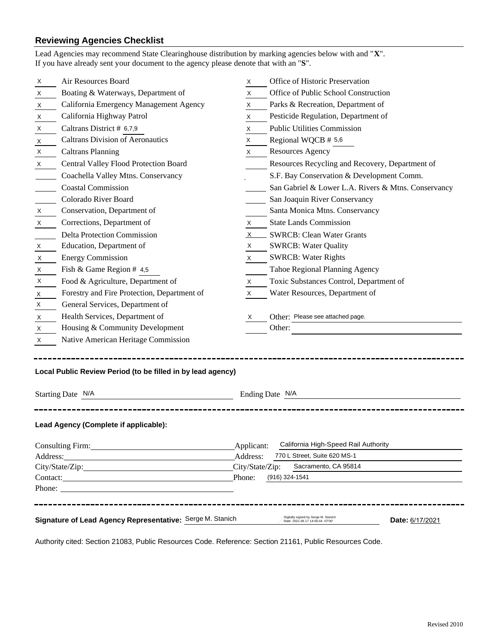# **Reviewing Agencies Checklist**

|                                                                                                                                                                                                                                     | Lead Agencies may recommend State Clearinghouse distribution by marking agencies below with and "X".<br>If you have already sent your document to the agency please denote that with an "S". |            |                                                                           |                 |  |  |
|-------------------------------------------------------------------------------------------------------------------------------------------------------------------------------------------------------------------------------------|----------------------------------------------------------------------------------------------------------------------------------------------------------------------------------------------|------------|---------------------------------------------------------------------------|-----------------|--|--|
| X                                                                                                                                                                                                                                   | Air Resources Board                                                                                                                                                                          | X          | Office of Historic Preservation                                           |                 |  |  |
| Χ                                                                                                                                                                                                                                   | Boating & Waterways, Department of                                                                                                                                                           | X          | Office of Public School Construction                                      |                 |  |  |
| X                                                                                                                                                                                                                                   | California Emergency Management Agency                                                                                                                                                       | X          | Parks & Recreation, Department of                                         |                 |  |  |
| X                                                                                                                                                                                                                                   | California Highway Patrol                                                                                                                                                                    | Χ          | Pesticide Regulation, Department of                                       |                 |  |  |
| X                                                                                                                                                                                                                                   | Caltrans District # 6,7,9                                                                                                                                                                    | X          | <b>Public Utilities Commission</b>                                        |                 |  |  |
| X                                                                                                                                                                                                                                   | <b>Caltrans Division of Aeronautics</b>                                                                                                                                                      | X          | Regional WQCB # 5,6                                                       |                 |  |  |
| X                                                                                                                                                                                                                                   | <b>Caltrans Planning</b>                                                                                                                                                                     | X          | <b>Resources Agency</b>                                                   |                 |  |  |
| Χ                                                                                                                                                                                                                                   | Central Valley Flood Protection Board                                                                                                                                                        |            | Resources Recycling and Recovery, Department of                           |                 |  |  |
|                                                                                                                                                                                                                                     | Coachella Valley Mtns. Conservancy                                                                                                                                                           |            | S.F. Bay Conservation & Development Comm.                                 |                 |  |  |
|                                                                                                                                                                                                                                     | <b>Coastal Commission</b>                                                                                                                                                                    |            | San Gabriel & Lower L.A. Rivers & Mtns. Conservancy                       |                 |  |  |
|                                                                                                                                                                                                                                     | Colorado River Board                                                                                                                                                                         |            | San Joaquin River Conservancy                                             |                 |  |  |
| Χ                                                                                                                                                                                                                                   | Conservation, Department of                                                                                                                                                                  |            | Santa Monica Mtns. Conservancy                                            |                 |  |  |
| X                                                                                                                                                                                                                                   | Corrections, Department of                                                                                                                                                                   | X          | <b>State Lands Commission</b>                                             |                 |  |  |
|                                                                                                                                                                                                                                     | <b>Delta Protection Commission</b>                                                                                                                                                           | X          | <b>SWRCB: Clean Water Grants</b>                                          |                 |  |  |
| Χ                                                                                                                                                                                                                                   | Education, Department of                                                                                                                                                                     | X          | <b>SWRCB: Water Quality</b>                                               |                 |  |  |
| X                                                                                                                                                                                                                                   | <b>Energy Commission</b>                                                                                                                                                                     | X.         | <b>SWRCB: Water Rights</b>                                                |                 |  |  |
| X                                                                                                                                                                                                                                   | Fish & Game Region # 4,5                                                                                                                                                                     |            | Tahoe Regional Planning Agency                                            |                 |  |  |
| Χ                                                                                                                                                                                                                                   | Food & Agriculture, Department of                                                                                                                                                            | X          | Toxic Substances Control, Department of                                   |                 |  |  |
| Χ                                                                                                                                                                                                                                   | Forestry and Fire Protection, Department of                                                                                                                                                  | X          | Water Resources, Department of                                            |                 |  |  |
| Χ                                                                                                                                                                                                                                   | General Services, Department of                                                                                                                                                              |            |                                                                           |                 |  |  |
| X                                                                                                                                                                                                                                   | Health Services, Department of                                                                                                                                                               | х          | Other: Please see attached page.                                          |                 |  |  |
| Х                                                                                                                                                                                                                                   | Housing & Community Development                                                                                                                                                              |            | Other:                                                                    |                 |  |  |
| X                                                                                                                                                                                                                                   | Native American Heritage Commission                                                                                                                                                          |            |                                                                           |                 |  |  |
| Local Public Review Period (to be filled in by lead agency)                                                                                                                                                                         |                                                                                                                                                                                              |            |                                                                           |                 |  |  |
| Starting Date N/A                                                                                                                                                                                                                   |                                                                                                                                                                                              |            | Ending Date N/A                                                           |                 |  |  |
|                                                                                                                                                                                                                                     | Lead Agency (Complete if applicable):                                                                                                                                                        |            |                                                                           |                 |  |  |
| Consulting Firm: Consulting Firm:                                                                                                                                                                                                   |                                                                                                                                                                                              | Applicant: | California High-Speed Rail Authority                                      |                 |  |  |
| Address: <u>Address</u> and the contract of the contract of the contract of the contract of the contract of the contract of the contract of the contract of the contract of the contract of the contract of the contract of the con |                                                                                                                                                                                              |            | 770 L Street, Suite 620 MS-1<br>Address:                                  |                 |  |  |
|                                                                                                                                                                                                                                     |                                                                                                                                                                                              |            | City/State/Zip:<br>Sacramento, CA 95814                                   |                 |  |  |
|                                                                                                                                                                                                                                     | Contact: Contact:                                                                                                                                                                            | Phone:     | (916) 324-1541                                                            |                 |  |  |
|                                                                                                                                                                                                                                     |                                                                                                                                                                                              |            |                                                                           |                 |  |  |
|                                                                                                                                                                                                                                     | Signature of Lead Agency Representative: Serge M. Stanich                                                                                                                                    |            | Digitally signed by Serge M. Stanich<br>Date: 2021.06.17 14:56:44 -07'00' | Date: 6/17/2021 |  |  |

Authority cited: Section 21083, Public Resources Code. Reference: Section 21161, Public Resources Code.